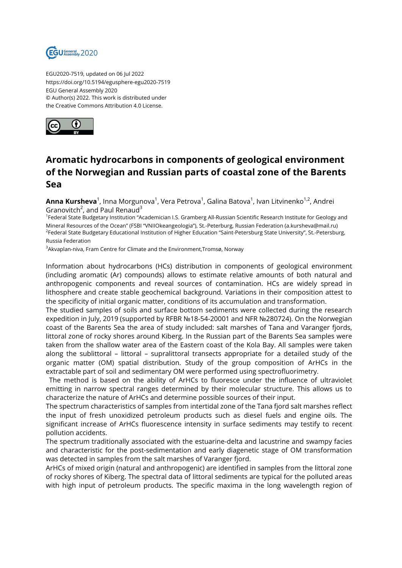

EGU2020-7519, updated on 06 Jul 2022 https://doi.org/10.5194/egusphere-egu2020-7519 EGU General Assembly 2020 © Author(s) 2022. This work is distributed under the Creative Commons Attribution 4.0 License.



## **Aromatic hydrocarbons in components of geological environment of the Norwegian and Russian parts of coastal zone of the Barents Sea**

**Anna Kursheva**<sup>1</sup>, Inna Morgunova<sup>1</sup>, Vera Petrova<sup>1</sup>, Galina Batova<sup>1</sup>, Ivan Litvinenko<sup>1,2</sup>, Andrei Granovitch<sup>2</sup>, and Paul Renaud $^3$ 

<sup>1</sup>Federal State Budgetary Institution "Academician I.S. Gramberg All-Russian Scientific Research Institute for Geology and Mineral Resources of the Ocean" (FSBI "VNIIOkeangeologia"), St.-Peterburg, Russian Federation (a.kursheva@mail.ru) <sup>2</sup>Federal State Budgetary Educational Institution of Higher Education "Saint-Petersburg State University", St.-Petersburg, Russia Federation

<sup>3</sup>Akvaplan-niva, Fram Centre for Climate and the Environment,Tromsø, Norway

Information about hydrocarbons (HCs) distribution in components of geological environment (including aromatic (Ar) compounds) allows to estimate relative amounts of both natural and anthropogenic components and reveal sources of contamination. HCs are widely spread in lithosphere and create stable geochemical background. Variations in their composition attest to the specificity of initial organic matter, conditions of its accumulation and transformation.

The studied samples of soils and surface bottom sediments were collected during the research expedition in July, 2019 (supported by RFBR №18-54-20001 and NFR №280724). On the Norwegian coast of the Barents Sea the area of study included: salt marshes of Tana and Varanger fjords, littoral zone of rocky shores around Kiberg. In the Russian part of the Barents Sea samples were taken from the shallow water area of the Eastern coast of the Kola Bay. All samples were taken along the sublittoral – littoral – supralittoral transects appropriate for a detailed study of the organic matter (OM) spatial distribution. Study of the group composition of ArHCs in the extractable part of soil and sedimentary OM were performed using spectrofluorimetry.

The method is based on the ability of ArHCs to fluoresce under the influence of ultraviolet emitting in narrow spectral ranges determined by their molecular structure. This allows us to characterize the nature of ArHCs and determine possible sources of their input.

The spectrum characteristics of samples from intertidal zone of the Tana fjord salt marshes reflect the input of fresh unoxidized petroleum products such as diesel fuels and engine oils. The significant increase of ArHCs fluorescence intensity in surface sediments may testify to recent pollution accidents.

The spectrum traditionally associated with the estuarine-delta and lacustrine and swampy facies and characteristic for the post-sedimentation and early diagenetic stage of OM transformation was detected in samples from the salt marshes of Varanger fjord.

ArHCs of mixed origin (natural and anthropogenic) are identified in samples from the littoral zone of rocky shores of Kiberg. The spectral data of littoral sediments are typical for the polluted areas with high input of petroleum products. The specific maxima in the long wavelength region of